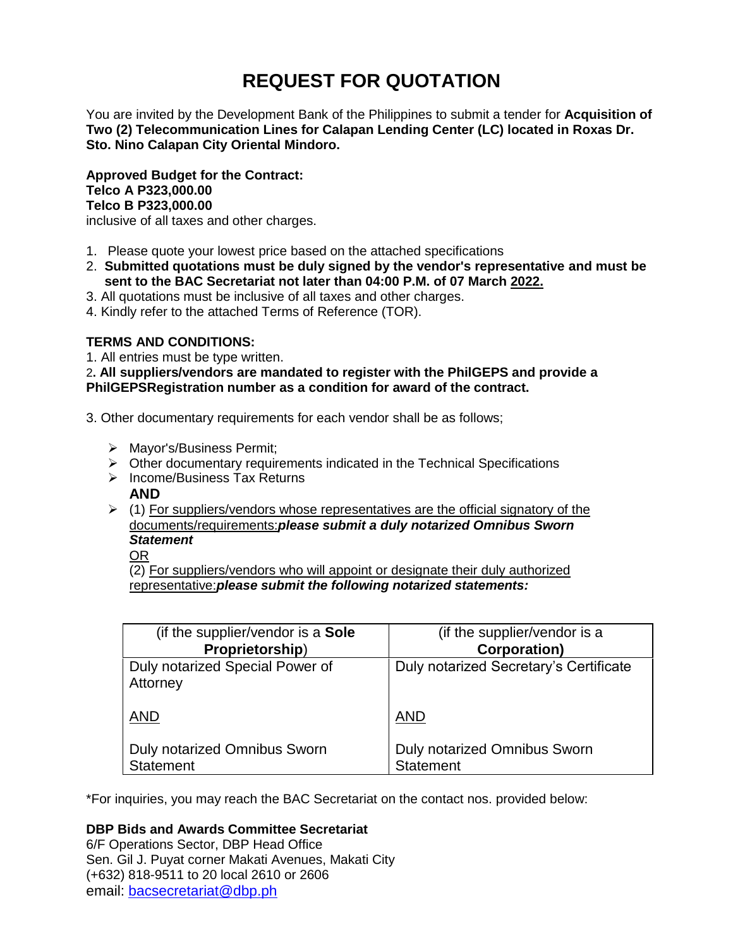# **REQUEST FOR QUOTATION**

You are invited by the Development Bank of the Philippines to submit a tender for **Acquisition of Two (2) Telecommunication Lines for Calapan Lending Center (LC) located in Roxas Dr. Sto. Nino Calapan City Oriental Mindoro.**

**Approved Budget for the Contract: Telco A P323,000.00 Telco B P323,000.00**

inclusive of all taxes and other charges.

- 1. Please quote your lowest price based on the attached specifications
- 2. **Submitted quotations must be duly signed by the vendor's representative and must be sent to the BAC Secretariat not later than 04:00 P.M. of 07 March 2022.**
- 3. All quotations must be inclusive of all taxes and other charges.
- 4. Kindly refer to the attached Terms of Reference (TOR).

# **TERMS AND CONDITIONS:**

1. All entries must be type written.

2**. All suppliers/vendors are mandated to register with the PhilGEPS and provide a PhilGEPSRegistration number as a condition for award of the contract.**

- 3. Other documentary requirements for each vendor shall be as follows;
	- > Mayor's/Business Permit;
	- $\triangleright$  Other documentary requirements indicated in the Technical Specifications
	- $\triangleright$  Income/Business Tax Returns
		- **AND**
	- $\geq$  (1) For suppliers/vendors whose representatives are the official signatory of the documents/requirements:*please submit a duly notarized Omnibus Sworn Statement*

OR

(2) For suppliers/vendors who will appoint or designate their duly authorized representative:*please submit the following notarized statements:*

| (if the supplier/vendor is a Sole           | (if the supplier/vendor is a           |
|---------------------------------------------|----------------------------------------|
| Proprietorship)                             | <b>Corporation</b> )                   |
| Duly notarized Special Power of<br>Attorney | Duly notarized Secretary's Certificate |
| <b>AND</b>                                  | <b>AND</b>                             |
| <b>Duly notarized Omnibus Sworn</b>         | <b>Duly notarized Omnibus Sworn</b>    |
| <b>Statement</b>                            | <b>Statement</b>                       |

\*For inquiries, you may reach the BAC Secretariat on the contact nos. provided below:

# **DBP Bids and Awards Committee Secretariat**

6/F Operations Sector, DBP Head Office Sen. Gil J. Puyat corner Makati Avenues, Makati City (+632) 818-9511 to 20 local 2610 or 2606 email: [bacsecretariat@dbp.ph](mailto:bacsecretariat@dbp.ph)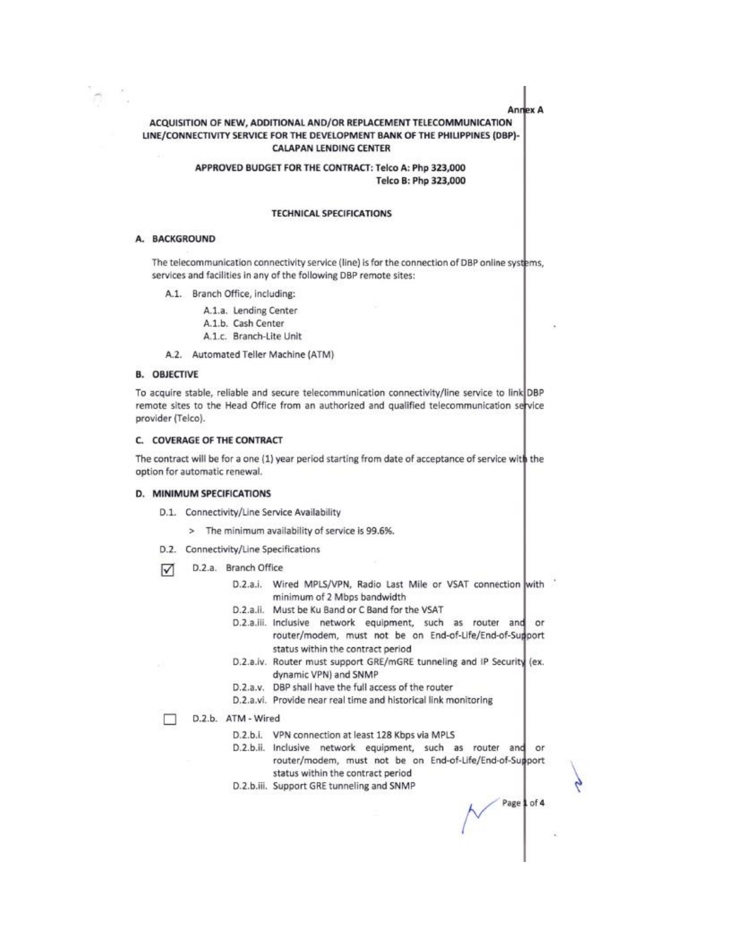Anney A

# ACQUISITION OF NEW, ADDITIONAL AND/OR REPLACEMENT TELECOMMUNICATION LINE/CONNECTIVITY SERVICE FOR THE DEVELOPMENT BANK OF THE PHILIPPINES (DBP)-**CALAPAN LENDING CENTER**

APPROVED BUDGET FOR THE CONTRACT: Telco A: Php 323,000 Telco B: Php 323,000

#### **TECHNICAL SPECIFICATIONS**

#### A. BACKGROUND

The telecommunication connectivity service (line) is for the connection of DBP online systems, services and facilities in any of the following DBP remote sites:

A.1. Branch Office, including:

A.1.a. Lending Center A.1.b. Cash Center A.1.c. Branch-Lite Unit

A.2. Automated Teller Machine (ATM)

### **B. OBJECTIVE**

To acquire stable, reliable and secure telecommunication connectivity/line service to link DBP remote sites to the Head Office from an authorized and qualified telecommunication service provider (Telco).

#### C. COVERAGE OF THE CONTRACT

The contract will be for a one (1) year period starting from date of acceptance of service with the option for automatic renewal.

#### D. MINIMUM SPECIFICATIONS

D.1. Connectivity/Line Service Availability

> The minimum availability of service is 99.6%.

- D.2. Connectivity/Line Specifications
- D.2.a. Branch Office ☑
	- D.2.a.i. Wired MPLS/VPN, Radio Last Mile or VSAT connection with minimum of 2 Mbps bandwidth
	- D.2.a.ii. Must be Ku Band or C Band for the VSAT
	- D.2.a.iii. Inclusive network equipment, such as router and or router/modem, must not be on End-of-Life/End-of-Sugport status within the contract period
	- D.2.a.iv. Router must support GRE/mGRE tunneling and IP Security (ex. dynamic VPN) and SNMP
	- D.2.a.v. DBP shall have the full access of the router
	- D.2.a.vi. Provide near real time and historical link monitoring
- D.2.b. ATM Wired
	- D.2.b.i. VPN connection at least 128 Kbps via MPLS
	- D.2.b.ii. Inclusive network equipment, such as router and or router/modem, must not be on End-of-Life/End-of-Support status within the contract period
	- D.2.b.iii. Support GRE tunneling and SNMP

Page 1 of 4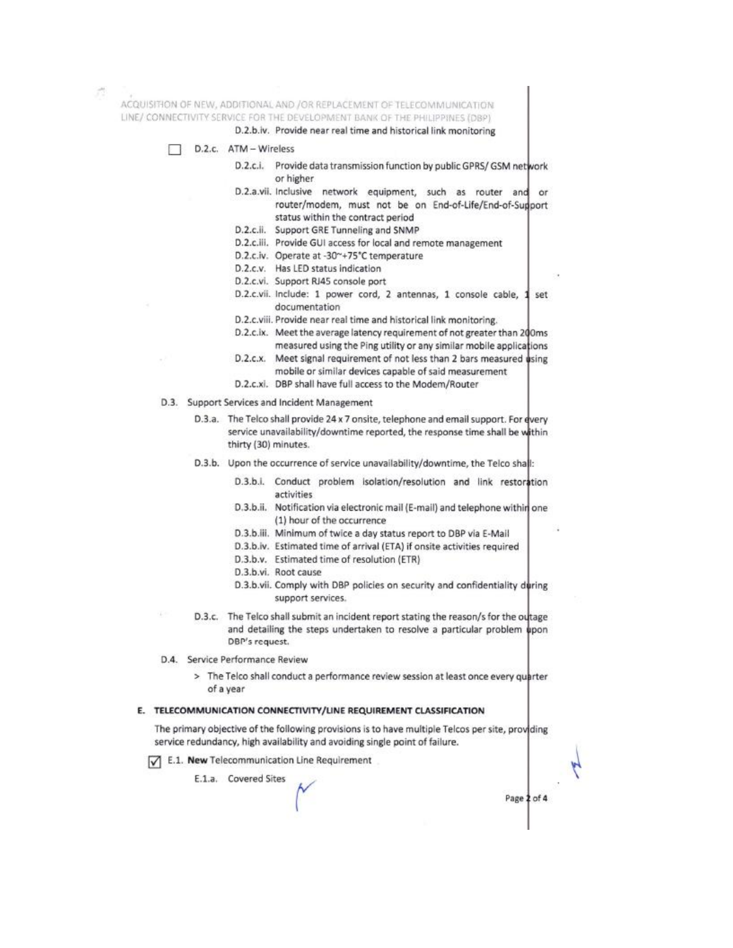ACQUISITION OF NEW, ADDITIONAL AND /OR REPLACEMENT OF TELECOMMUNICATION LINE/ CONNECTIVITY SERVICE FOR THE DEVELOPMENT BANK OF THE PHILIPPINES (DBP)

D.2.b.iv. Provide near real time and historical link monitoring



- D.2.c.i. Provide data transmission function by public GPRS/ GSM network or higher
- D.2.a.vii. Inclusive network equipment, such as router and ör router/modem, must not be on End-of-Life/End-of-Sugport status within the contract period
- D.2.c.ii. Support GRE Tunneling and SNMP
- D.2.c.iii. Provide GUI access for local and remote management
- D.2.c.iv. Operate at -30~+75°C temperature
- D.2.c.v. Has LED status indication
- D.2.c.vi. Support RJ45 console port
- D.2.c.vii. Include: 1 power cord, 2 antennas, 1 console cable, set documentation
- D.2.c.viii. Provide near real time and historical link monitoring.
- D.2.c.ix. Meet the average latency requirement of not greater than 200ms measured using the Ping utility or any similar mobile applications
- D.2.c.x. Meet signal requirement of not less than 2 bars measured using mobile or similar devices capable of said measurement
- D.2.c.xi. DBP shall have full access to the Modem/Router
- D.3. Support Services and Incident Management
	- D.3.a. The Telco shall provide 24 x 7 onsite, telephone and email support. For every service unavailability/downtime reported, the response time shall be within thirty (30) minutes.
	- D.3.b. Upon the occurrence of service unavailability/downtime, the Telco shall:
		- D.3.b.i. Conduct problem isolation/resolution and link restoration activities
		- D.3.b.ii. Notification via electronic mail (E-mail) and telephone within one (1) hour of the occurrence
		- D.3.b.iii. Minimum of twice a day status report to DBP via E-Mail
		- D.3.b.iv. Estimated time of arrival (ETA) if onsite activities required
		- D.3.b.v. Estimated time of resolution (ETR)
		- D.3.b.vi. Root cause
		- D.3.b.vii. Comply with DBP policies on security and confidentiality during support services.
	- D.3.c. The Telco shall submit an incident report stating the reason/s for the outage and detailing the steps undertaken to resolve a particular problem upon DBP's request.
- D.4. Service Performance Review
	- > The Telco shall conduct a performance review session at least once every quarter of a year

#### E. TELECOMMUNICATION CONNECTIVITY/LINE REQUIREMENT CLASSIFICATION

The primary objective of the following provisions is to have multiple Telcos per site, providing service redundancy, high availability and avoiding single point of failure.

E.1. New Telecommunication Line Requirement

E.1.a. Covered Sites

Page 2 of 4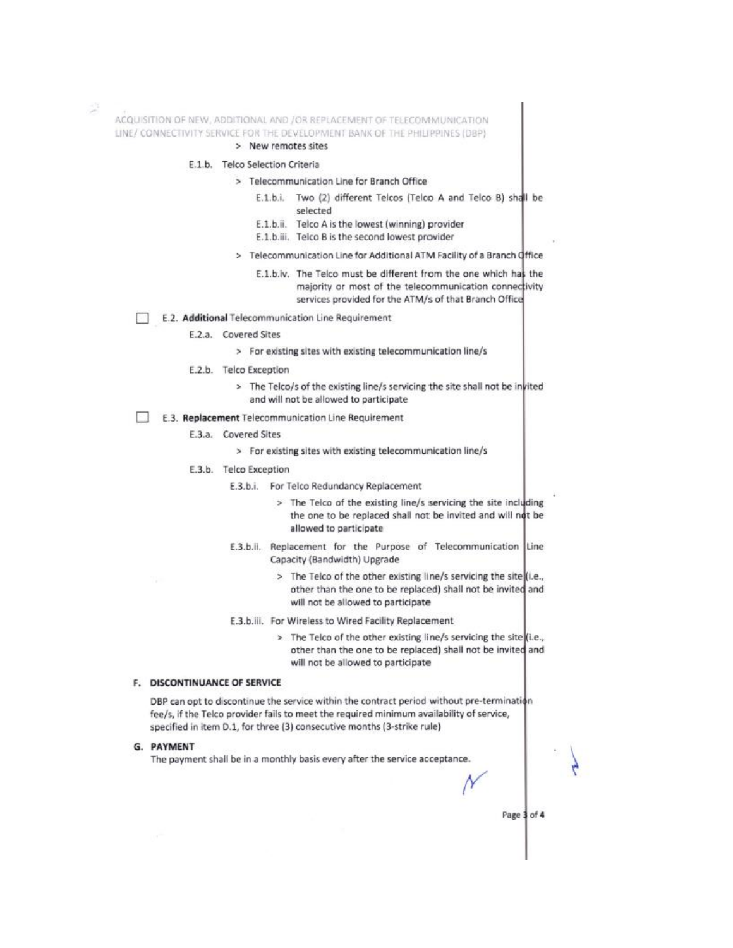ACQUISITION OF NEW, ADDITIONAL AND /OR REPLACEMENT OF TELECOMMUNICATION LINE/ CONNECTIVITY SERVICE FOR THE DEVELOPMENT BANK OF THE PHILIPPINES (DBP)

#### > New remotes sites

## E.1.b. Telco Selection Criteria

- > Telecommunication Line for Branch Office
	- E.1.b.i. Two (2) different Telcos (Telco A and Telco B) shall be selected
	- E.1.b.ii. Telco A is the lowest (winning) provider
	- E.1.b.iii. Telco B is the second lowest provider
- > Telecommunication Line for Additional ATM Facility of a Branch Office
	- E.1.b.iv. The Telco must be different from the one which has the majority or most of the telecommunication connectivity services provided for the ATM/s of that Branch Office

E.2. Additional Telecommunication Line Requirement

- E.2.a. Covered Sites
	- > For existing sites with existing telecommunication line/s
- E.2.b. Telco Exception
	- > The Telco/s of the existing line/s servicing the site shall not be invited and will not be allowed to participate
- E.3. Replacement Telecommunication Line Reguirement
	- E.3.a. Covered Sites
		- > For existing sites with existing telecommunication line/s
	- E.3.b. Telco Exception

E.3.b.i. For Telco Redundancy Replacement

- > The Telco of the existing line/s servicing the site including the one to be replaced shall not be invited and will not be allowed to participate
- E.3.b.ii. Replacement for the Purpose of Telecommunication Line Capacity (Bandwidth) Upgrade
	- > The Telco of the other existing line/s servicing the site (i.e., other than the one to be replaced) shall not be invited and will not be allowed to participate
- E.3.b.iii. For Wireless to Wired Facility Replacement
	- > The Telco of the other existing line/s servicing the site (i.e., other than the one to be replaced) shall not be invited and will not be allowed to participate

#### F. DISCONTINUANCE OF SERVICE

DBP can opt to discontinue the service within the contract period without pre-termination fee/s, if the Telco provider fails to meet the required minimum availability of service, specified in item D.1, for three (3) consecutive months (3-strike rule)

#### G. PAYMENT

The payment shall be in a monthly basis every after the service acceptance.